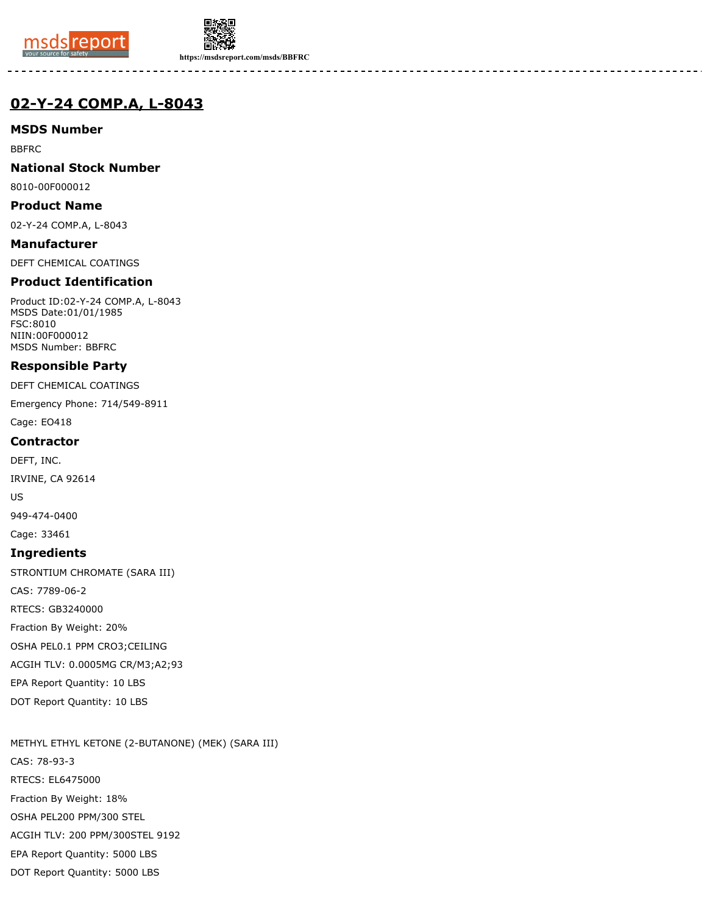



**https://msdsreport.com/msds/BBFRC**

# **02-Y-24 COMP.A, L-8043**

**MSDS Number**

BBFRC

**National Stock Number**

8010-00F000012

**Product Name**

02-Y-24 COMP.A, L-8043

**Manufacturer** DEFT CHEMICAL COATINGS

### **Product Identification**

Product ID:02-Y-24 COMP.A, L-8043 MSDS Date:01/01/1985 FSC:8010 NIIN:00F000012 MSDS Number: BBFRC

### **Responsible Party**

DEFT CHEMICAL COATINGS

Emergency Phone: 714/549-8911

Cage: EO418

#### **Contractor**

DEFT, INC.

IRVINE, CA 92614

US

949-474-0400

Cage: 33461

### **Ingredients**

STRONTIUM CHROMATE (SARA III) CAS: 7789-06-2 RTECS: GB3240000 Fraction By Weight: 20% OSHA PEL0.1 PPM CRO3;CEILING ACGIH TLV: 0.0005MG CR/M3;A2;93 EPA Report Quantity: 10 LBS DOT Report Quantity: 10 LBS

METHYL ETHYL KETONE (2-BUTANONE) (MEK) (SARA III) CAS: 78-93-3 RTECS: EL6475000 Fraction By Weight: 18% OSHA PEL200 PPM/300 STEL ACGIH TLV: 200 PPM/300STEL 9192 EPA Report Quantity: 5000 LBS DOT Report Quantity: 5000 LBS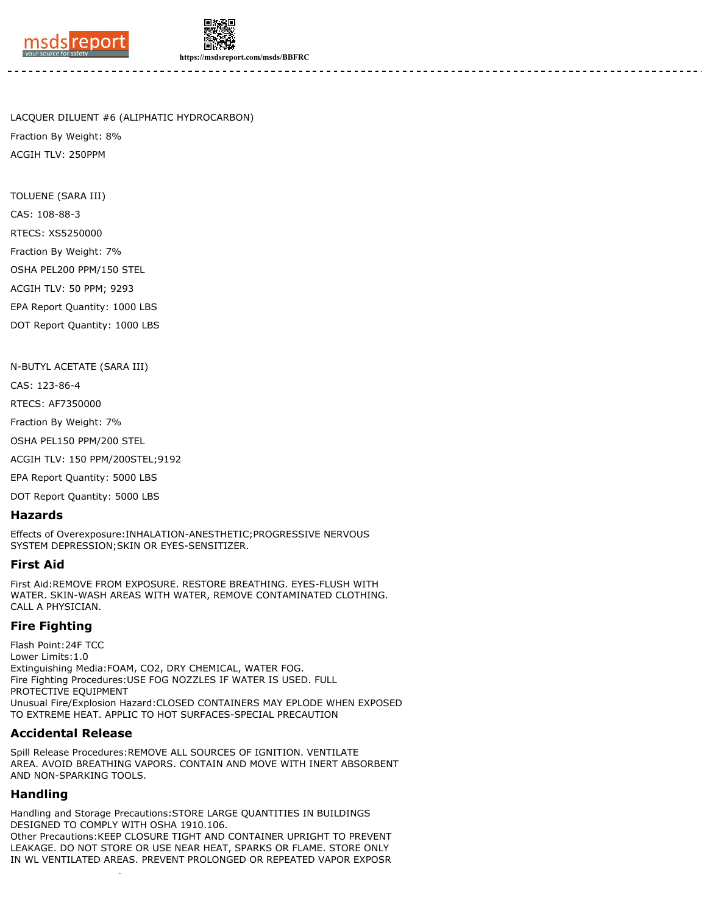



LACQUER DILUENT #6 (ALIPHATIC HYDROCARBON) Fraction By Weight: 8% ACGIH TLV: 250PPM

TOLUENE (SARA III) CAS: 108-88-3 RTECS: XS5250000 Fraction By Weight: 7% OSHA PEL200 PPM/150 STEL ACGIH TLV: 50 PPM; 9293 EPA Report Quantity: 1000 LBS DOT Report Quantity: 1000 LBS

N-BUTYL ACETATE (SARA III)

CAS: 123-86-4

RTECS: AF7350000

Fraction By Weight: 7%

OSHA PEL150 PPM/200 STEL

ACGIH TLV: 150 PPM/200STEL;9192

EPA Report Quantity: 5000 LBS

DOT Report Quantity: 5000 LBS

#### **Hazards**

Effects of Overexposure:INHALATION-ANESTHETIC;PROGRESSIVE NERVOUS SYSTEM DEPRESSION;SKIN OR EYES-SENSITIZER.

#### **First Aid**

First Aid:REMOVE FROM EXPOSURE. RESTORE BREATHING. EYES-FLUSH WITH WATER. SKIN-WASH AREAS WITH WATER, REMOVE CONTAMINATED CLOTHING. CALL A PHYSICIAN.

### **Fire Fighting**

Flash Point:24F TCC Lower Limits:1.0 Extinguishing Media:FOAM, CO2, DRY CHEMICAL, WATER FOG. Fire Fighting Procedures:USE FOG NOZZLES IF WATER IS USED. FULL PROTECTIVE EQUIPMENT Unusual Fire/Explosion Hazard:CLOSED CONTAINERS MAY EPLODE WHEN EXPOSED TO EXTREME HEAT. APPLIC TO HOT SURFACES-SPECIAL PRECAUTION

### **Accidental Release**

**Exposure Controls**

Spill Release Procedures:REMOVE ALL SOURCES OF IGNITION. VENTILATE AREA. AVOID BREATHING VAPORS. CONTAIN AND MOVE WITH INERT ABSORBENT AND NON-SPARKING TOOLS.

#### **Handling**

Handling and Storage Precautions:STORE LARGE QUANTITIES IN BUILDINGS DESIGNED TO COMPLY WITH OSHA 1910.106. Other Precautions:KEEP CLOSURE TIGHT AND CONTAINER UPRIGHT TO PREVENT LEAKAGE. DO NOT STORE OR USE NEAR HEAT, SPARKS OR FLAME. STORE ONLY IN WL VENTILATED AREAS. PREVENT PROLONGED OR REPEATED VAPOR EXPOSR